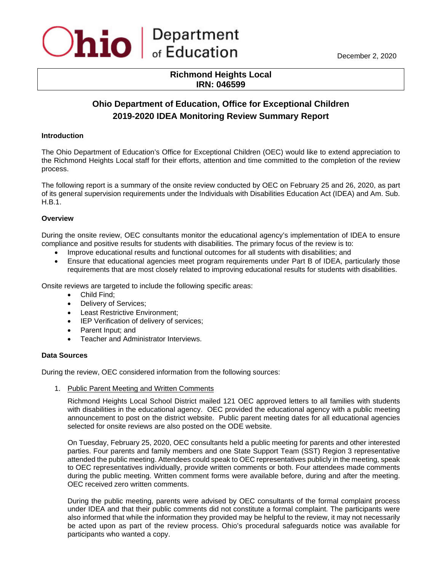## **Richmond Heights Local IRN: 046599**

# **Ohio Department of Education, Office for Exceptional Children 2019-2020 IDEA Monitoring Review Summary Report**

## **Introduction**

The Ohio Department of Education's Office for Exceptional Children (OEC) would like to extend appreciation to the Richmond Heights Local staff for their efforts, attention and time committed to the completion of the review process.

The following report is a summary of the onsite review conducted by OEC on February 25 and 26, 2020, as part of its general supervision requirements under the Individuals with Disabilities Education Act (IDEA) and Am. Sub. H.B.1.

## **Overview**

During the onsite review, OEC consultants monitor the educational agency's implementation of IDEA to ensure compliance and positive results for students with disabilities. The primary focus of the review is to:

- Improve educational results and functional outcomes for all students with disabilities; and
- Ensure that educational agencies meet program requirements under Part B of IDEA, particularly those requirements that are most closely related to improving educational results for students with disabilities.

Onsite reviews are targeted to include the following specific areas:

- Child Find;
- Delivery of Services;
- Least Restrictive Environment;
- IEP Verification of delivery of services;
- Parent Input; and
- Teacher and Administrator Interviews.

#### **Data Sources**

During the review, OEC considered information from the following sources:

1. Public Parent Meeting and Written Comments

Richmond Heights Local School District mailed 121 OEC approved letters to all families with students with disabilities in the educational agency. OEC provided the educational agency with a public meeting announcement to post on the district website. Public parent meeting dates for all educational agencies selected for onsite reviews are also posted on the ODE website.

On Tuesday, February 25, 2020, OEC consultants held a public meeting for parents and other interested parties. Four parents and family members and one State Support Team (SST) Region 3 representative attended the public meeting. Attendees could speak to OEC representatives publicly in the meeting, speak to OEC representatives individually, provide written comments or both. Four attendees made comments during the public meeting. Written comment forms were available before, during and after the meeting. OEC received zero written comments.

During the public meeting, parents were advised by OEC consultants of the formal complaint process under IDEA and that their public comments did not constitute a formal complaint. The participants were also informed that while the information they provided may be helpful to the review, it may not necessarily be acted upon as part of the review process. Ohio's procedural safeguards notice was available for participants who wanted a copy.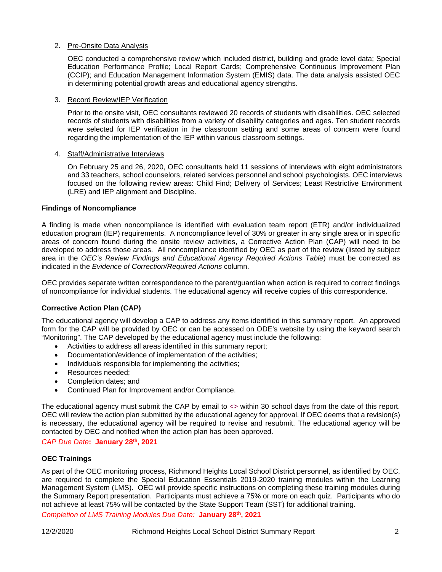## 2. Pre-Onsite Data Analysis

OEC conducted a comprehensive review which included district, building and grade level data; Special Education Performance Profile; Local Report Cards; Comprehensive Continuous Improvement Plan (CCIP); and Education Management Information System (EMIS) data. The data analysis assisted OEC in determining potential growth areas and educational agency strengths.

#### 3. Record Review/IEP Verification

Prior to the onsite visit, OEC consultants reviewed 20 records of students with disabilities. OEC selected records of students with disabilities from a variety of disability categories and ages. Ten student records were selected for IEP verification in the classroom setting and some areas of concern were found regarding the implementation of the IEP within various classroom settings.

#### 4. Staff/Administrative Interviews

On February 25 and 26, 2020, OEC consultants held 11 sessions of interviews with eight administrators and 33 teachers, school counselors, related services personnel and school psychologists. OEC interviews focused on the following review areas: Child Find; Delivery of Services; Least Restrictive Environment (LRE) and IEP alignment and Discipline.

#### **Findings of Noncompliance**

A finding is made when noncompliance is identified with evaluation team report (ETR) and/or individualized education program (IEP) requirements. A noncompliance level of 30% or greater in any single area or in specific areas of concern found during the onsite review activities, a Corrective Action Plan (CAP) will need to be developed to address those areas. All noncompliance identified by OEC as part of the review (listed by subject area in the *OEC's Review Findings and Educational Agency Required Actions Table*) must be corrected as indicated in the *Evidence of Correction/Required Actions* column.

OEC provides separate written correspondence to the parent/guardian when action is required to correct findings of noncompliance for individual students. The educational agency will receive copies of this correspondence.

#### **Corrective Action Plan (CAP)**

The educational agency will develop a CAP to address any items identified in this summary report. An approved form for the CAP will be provided by OEC or can be accessed on ODE's website by using the keyword search "Monitoring". The CAP developed by the educational agency must include the following:

- Activities to address all areas identified in this summary report;
- Documentation/evidence of implementation of the activities;
- Individuals responsible for implementing the activities;
- Resources needed:
- Completion dates; and
- Continued Plan for Improvement and/or Compliance.

The educational agency must submit the CAP by email to  $\ll$  within 30 school days from the date of this report. OEC will review the action plan submitted by the educational agency for approval. If OEC deems that a revision(s) is necessary, the educational agency will be required to revise and resubmit. The educational agency will be contacted by OEC and notified when the action plan has been approved.

## *CAP Due Date***: January 28th, 2021**

#### **OEC Trainings**

As part of the OEC monitoring process, Richmond Heights Local School District personnel, as identified by OEC, are required to complete the Special Education Essentials 2019-2020 training modules within the Learning Management System (LMS). OEC will provide specific instructions on completing these training modules during the Summary Report presentation. Participants must achieve a 75% or more on each quiz. Participants who do not achieve at least 75% will be contacted by the State Support Team (SST) for additional training.

*Completion of LMS Training Modules Due Date:* **January 28th, 2021**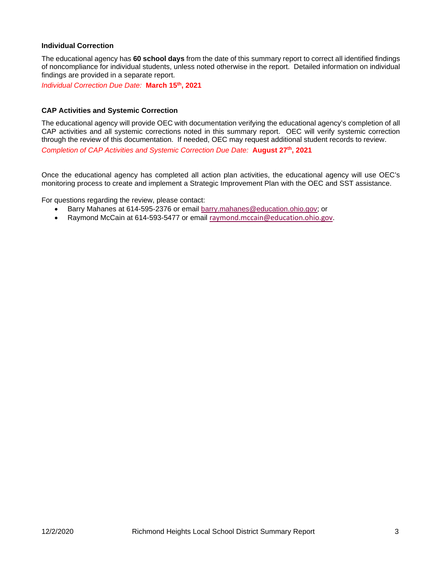## **Individual Correction**

The educational agency has **60 school days** from the date of this summary report to correct all identified findings of noncompliance for individual students, unless noted otherwise in the report. Detailed information on individual findings are provided in a separate report.

*Individual Correction Due Date:* **March 15th, 2021**

### **CAP Activities and Systemic Correction**

The educational agency will provide OEC with documentation verifying the educational agency's completion of all CAP activities and all systemic corrections noted in this summary report. OEC will verify systemic correction through the review of this documentation. If needed, OEC may request additional student records to review. *Completion of CAP Activities and Systemic Correction Due Date:* **August 27th, 2021**

Once the educational agency has completed all action plan activities, the educational agency will use OEC's monitoring process to create and implement a Strategic Improvement Plan with the OEC and SST assistance.

For questions regarding the review, please contact:

- Barry Mahanes at 614-595-2376 or email [barry.mahanes@education.ohio.gov;](mailto:barry.mahanes@education.ohio.gov) or
- Raymond McCain at 614-593-5477 or email [raymond.mccain@education.ohio.gov](mailto:raymond.mccain@education.ohio.gov).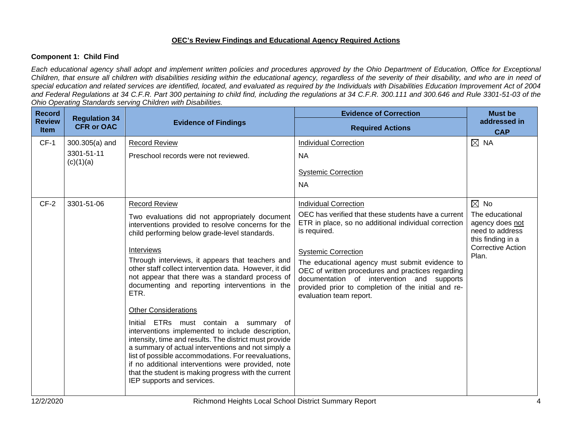## **OEC's Review Findings and Educational Agency Required Actions**

## **Component 1: Child Find**

*Each educational agency shall adopt and implement written policies and procedures approved by the Ohio Department of Education, Office for Exceptional Children, that ensure all children with disabilities residing within the educational agency, regardless of the severity of their disability, and who are in need of special education and related services are identified, located, and evaluated as required by the Individuals with Disabilities Education Improvement Act of 2004 and Federal Regulations at 34 C.F.R. Part 300 pertaining to child find, including the regulations at 34 C.F.R. 300.111 and 300.646 and Rule 3301-51-03 of the Ohio Operating Standards serving Children with Disabilities.* 

| <b>Record</b><br><b>Review</b><br><b>Item</b> | <b>Regulation 34</b><br><b>CFR or OAC</b>   | <b>Evidence of Findings</b>                                                                                                                                                                                                                                                                                                                                                                                                                                                                                                                                                                                                                                                                                                                                                                                                                                                    | <b>Evidence of Correction</b><br><b>Required Actions</b>                                                                                                                                                                                                                                                                                                                                                                         | <b>Must be</b><br>addressed in<br><b>CAP</b>                                                                                      |
|-----------------------------------------------|---------------------------------------------|--------------------------------------------------------------------------------------------------------------------------------------------------------------------------------------------------------------------------------------------------------------------------------------------------------------------------------------------------------------------------------------------------------------------------------------------------------------------------------------------------------------------------------------------------------------------------------------------------------------------------------------------------------------------------------------------------------------------------------------------------------------------------------------------------------------------------------------------------------------------------------|----------------------------------------------------------------------------------------------------------------------------------------------------------------------------------------------------------------------------------------------------------------------------------------------------------------------------------------------------------------------------------------------------------------------------------|-----------------------------------------------------------------------------------------------------------------------------------|
| $CF-1$                                        | $300.305(a)$ and<br>3301-51-11<br>(c)(1)(a) | <b>Record Review</b><br>Preschool records were not reviewed.                                                                                                                                                                                                                                                                                                                                                                                                                                                                                                                                                                                                                                                                                                                                                                                                                   | <b>Individual Correction</b><br><b>NA</b><br><b>Systemic Correction</b><br><b>NA</b>                                                                                                                                                                                                                                                                                                                                             | $\boxtimes$ NA                                                                                                                    |
| $CF-2$                                        | 3301-51-06                                  | <b>Record Review</b><br>Two evaluations did not appropriately document<br>interventions provided to resolve concerns for the<br>child performing below grade-level standards.<br><b>Interviews</b><br>Through interviews, it appears that teachers and<br>other staff collect intervention data. However, it did<br>not appear that there was a standard process of<br>documenting and reporting interventions in the<br>ETR.<br><b>Other Considerations</b><br>Initial ETRs must contain a summary of<br>interventions implemented to include description,<br>intensity, time and results. The district must provide<br>a summary of actual interventions and not simply a<br>list of possible accommodations. For reevaluations,<br>if no additional interventions were provided, note<br>that the student is making progress with the current<br>IEP supports and services. | <b>Individual Correction</b><br>OEC has verified that these students have a current<br>ETR in place, so no additional individual correction<br>is required.<br><b>Systemic Correction</b><br>The educational agency must submit evidence to<br>OEC of written procedures and practices regarding<br>documentation of intervention and supports<br>provided prior to completion of the initial and re-<br>evaluation team report. | $\boxtimes$ No<br>The educational<br>agency does not<br>need to address<br>this finding in a<br><b>Corrective Action</b><br>Plan. |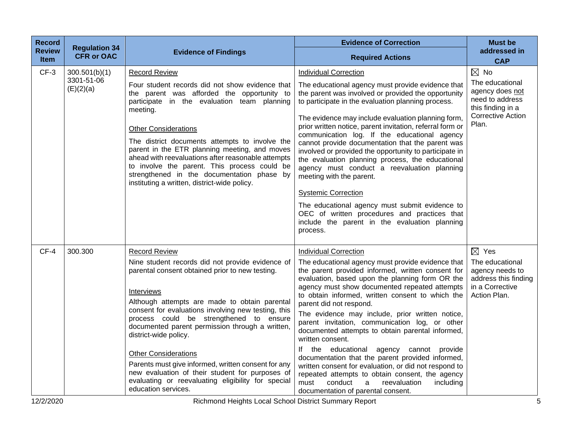| <b>Record</b>                | <b>Regulation 34</b>                     |                                                                                                                                                                                                                                                                                                                                                                                                                                                                                                                                                                                                | <b>Evidence of Correction</b>                                                                                                                                                                                                                                                                                                                                                                                                                                                                                                                                                                                                                                                                                                                                                                                 | <b>Must be</b>                                                                                                                    |
|------------------------------|------------------------------------------|------------------------------------------------------------------------------------------------------------------------------------------------------------------------------------------------------------------------------------------------------------------------------------------------------------------------------------------------------------------------------------------------------------------------------------------------------------------------------------------------------------------------------------------------------------------------------------------------|---------------------------------------------------------------------------------------------------------------------------------------------------------------------------------------------------------------------------------------------------------------------------------------------------------------------------------------------------------------------------------------------------------------------------------------------------------------------------------------------------------------------------------------------------------------------------------------------------------------------------------------------------------------------------------------------------------------------------------------------------------------------------------------------------------------|-----------------------------------------------------------------------------------------------------------------------------------|
| <b>Review</b><br><b>Item</b> | <b>CFR or OAC</b>                        | <b>Evidence of Findings</b>                                                                                                                                                                                                                                                                                                                                                                                                                                                                                                                                                                    | <b>Required Actions</b>                                                                                                                                                                                                                                                                                                                                                                                                                                                                                                                                                                                                                                                                                                                                                                                       | addressed in<br><b>CAP</b>                                                                                                        |
| $CF-3$                       | 300.501(b)(1)<br>3301-51-06<br>(E)(2)(a) | <b>Record Review</b><br>Four student records did not show evidence that<br>the parent was afforded the opportunity to<br>participate in the evaluation team planning<br>meeting.<br><b>Other Considerations</b><br>The district documents attempts to involve the<br>parent in the ETR planning meeting, and moves<br>ahead with reevaluations after reasonable attempts<br>to involve the parent. This process could be<br>strengthened in the documentation phase by<br>instituting a written, district-wide policy.                                                                         | <b>Individual Correction</b><br>The educational agency must provide evidence that<br>the parent was involved or provided the opportunity<br>to participate in the evaluation planning process.<br>The evidence may include evaluation planning form,<br>prior written notice, parent invitation, referral form or<br>communication log. If the educational agency<br>cannot provide documentation that the parent was<br>involved or provided the opportunity to participate in<br>the evaluation planning process, the educational<br>agency must conduct a reevaluation planning<br>meeting with the parent.<br><b>Systemic Correction</b><br>The educational agency must submit evidence to<br>OEC of written procedures and practices that<br>include the parent in the evaluation planning<br>process.   | $\boxtimes$ No<br>The educational<br>agency does not<br>need to address<br>this finding in a<br><b>Corrective Action</b><br>Plan. |
| $CF-4$                       | 300.300                                  | <b>Record Review</b><br>Nine student records did not provide evidence of<br>parental consent obtained prior to new testing.<br>Interviews<br>Although attempts are made to obtain parental<br>consent for evaluations involving new testing, this<br>process could be strengthened to ensure<br>documented parent permission through a written,<br>district-wide policy.<br><b>Other Considerations</b><br>Parents must give informed, written consent for any<br>new evaluation of their student for purposes of<br>evaluating or reevaluating eligibility for special<br>education services. | <b>Individual Correction</b><br>The educational agency must provide evidence that<br>the parent provided informed, written consent for<br>evaluation, based upon the planning form OR the<br>agency must show documented repeated attempts<br>to obtain informed, written consent to which the<br>parent did not respond.<br>The evidence may include, prior written notice,<br>parent invitation, communication log, or other<br>documented attempts to obtain parental informed,<br>written consent.<br>If the educational agency cannot provide<br>documentation that the parent provided informed,<br>written consent for evaluation, or did not respond to<br>repeated attempts to obtain consent, the agency<br>must<br>conduct<br>a<br>reevaluation<br>including<br>documentation of parental consent. | $\boxtimes$ Yes<br>The educational<br>agency needs to<br>address this finding<br>in a Corrective<br>Action Plan.                  |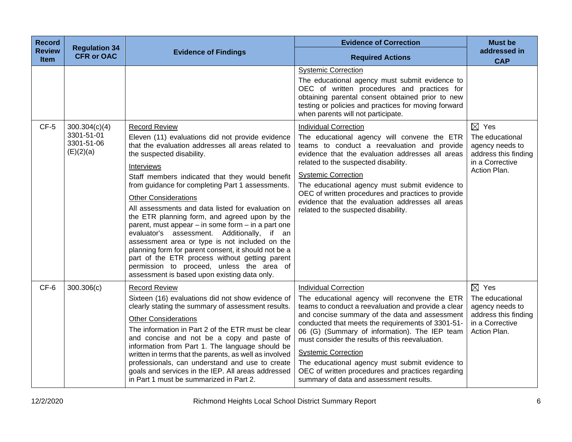| <b>Record</b><br><b>Review</b><br>Item | <b>Regulation 34</b><br><b>CFR or OAC</b>              | <b>Evidence of Findings</b>                                                                                                                                                                                                                                                                                                                                                                                                                                                                                                                                                                                                                                                                                                                                                             | <b>Evidence of Correction</b><br><b>Required Actions</b>                                                                                                                                                                                                                                                                                                                                                                                                                                                                        | <b>Must be</b><br>addressed in<br><b>CAP</b>                                                                     |
|----------------------------------------|--------------------------------------------------------|-----------------------------------------------------------------------------------------------------------------------------------------------------------------------------------------------------------------------------------------------------------------------------------------------------------------------------------------------------------------------------------------------------------------------------------------------------------------------------------------------------------------------------------------------------------------------------------------------------------------------------------------------------------------------------------------------------------------------------------------------------------------------------------------|---------------------------------------------------------------------------------------------------------------------------------------------------------------------------------------------------------------------------------------------------------------------------------------------------------------------------------------------------------------------------------------------------------------------------------------------------------------------------------------------------------------------------------|------------------------------------------------------------------------------------------------------------------|
|                                        |                                                        |                                                                                                                                                                                                                                                                                                                                                                                                                                                                                                                                                                                                                                                                                                                                                                                         | <b>Systemic Correction</b><br>The educational agency must submit evidence to<br>OEC of written procedures and practices for<br>obtaining parental consent obtained prior to new<br>testing or policies and practices for moving forward<br>when parents will not participate.                                                                                                                                                                                                                                                   |                                                                                                                  |
| $CF-5$                                 | 300.304(c)(4)<br>3301-51-01<br>3301-51-06<br>(E)(2)(a) | <b>Record Review</b><br>Eleven (11) evaluations did not provide evidence<br>that the evaluation addresses all areas related to<br>the suspected disability.<br>Interviews<br>Staff members indicated that they would benefit<br>from guidance for completing Part 1 assessments.<br><b>Other Considerations</b><br>All assessments and data listed for evaluation on<br>the ETR planning form, and agreed upon by the<br>parent, must appear $-$ in some form $-$ in a part one<br>evaluator's assessment. Additionally, if an<br>assessment area or type is not included on the<br>planning form for parent consent, it should not be a<br>part of the ETR process without getting parent<br>permission to proceed, unless the area of<br>assessment is based upon existing data only. | <b>Individual Correction</b><br>The educational agency will convene the ETR<br>teams to conduct a reevaluation and provide<br>evidence that the evaluation addresses all areas<br>related to the suspected disability.<br><b>Systemic Correction</b><br>The educational agency must submit evidence to<br>OEC of written procedures and practices to provide<br>evidence that the evaluation addresses all areas<br>related to the suspected disability.                                                                        | $\boxtimes$ Yes<br>The educational<br>agency needs to<br>address this finding<br>in a Corrective<br>Action Plan. |
| CF-6                                   | 300.306(c)                                             | <b>Record Review</b><br>Sixteen (16) evaluations did not show evidence of<br>clearly stating the summary of assessment results.<br><b>Other Considerations</b><br>The information in Part 2 of the ETR must be clear<br>and concise and not be a copy and paste of<br>information from Part 1. The language should be<br>written in terms that the parents, as well as involved<br>professionals, can understand and use to create<br>goals and services in the IEP. All areas addressed<br>in Part 1 must be summarized in Part 2.                                                                                                                                                                                                                                                     | <b>Individual Correction</b><br>The educational agency will reconvene the ETR<br>teams to conduct a reevaluation and provide a clear<br>and concise summary of the data and assessment<br>conducted that meets the requirements of 3301-51-<br>06 (G) (Summary of information). The IEP team<br>must consider the results of this reevaluation.<br><b>Systemic Correction</b><br>The educational agency must submit evidence to<br>OEC of written procedures and practices regarding<br>summary of data and assessment results. | $\boxtimes$ Yes<br>The educational<br>agency needs to<br>address this finding<br>in a Corrective<br>Action Plan. |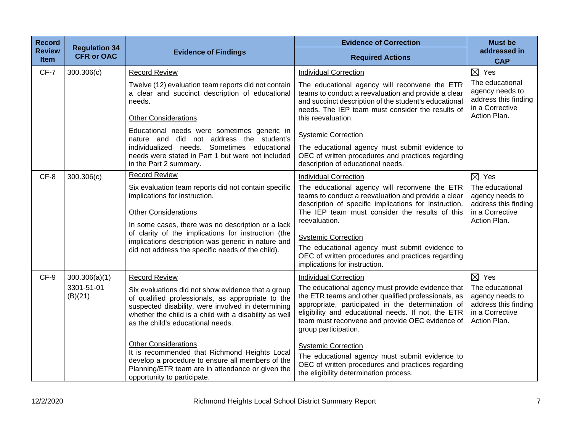| <b>Record</b>                | <b>Regulation 34</b>                   |                                                                                                                                                                                                                                                                                                                                                                                                                          | <b>Evidence of Correction</b>                                                                                                                                                                                                                                                                                                                                                                                  | <b>Must be</b>                                                                                                   |
|------------------------------|----------------------------------------|--------------------------------------------------------------------------------------------------------------------------------------------------------------------------------------------------------------------------------------------------------------------------------------------------------------------------------------------------------------------------------------------------------------------------|----------------------------------------------------------------------------------------------------------------------------------------------------------------------------------------------------------------------------------------------------------------------------------------------------------------------------------------------------------------------------------------------------------------|------------------------------------------------------------------------------------------------------------------|
| <b>Review</b><br><b>Item</b> | <b>CFR or OAC</b>                      | <b>Evidence of Findings</b>                                                                                                                                                                                                                                                                                                                                                                                              | <b>Required Actions</b>                                                                                                                                                                                                                                                                                                                                                                                        | addressed in<br><b>CAP</b>                                                                                       |
| CF-7                         | 300.306(c)                             | <b>Record Review</b>                                                                                                                                                                                                                                                                                                                                                                                                     | <b>Individual Correction</b>                                                                                                                                                                                                                                                                                                                                                                                   | $\boxtimes$ Yes                                                                                                  |
|                              |                                        | Twelve (12) evaluation team reports did not contain<br>a clear and succinct description of educational<br>needs.<br><b>Other Considerations</b>                                                                                                                                                                                                                                                                          | The educational agency will reconvene the ETR<br>teams to conduct a reevaluation and provide a clear<br>and succinct description of the student's educational<br>needs. The IEP team must consider the results of<br>this reevaluation.                                                                                                                                                                        | The educational<br>agency needs to<br>address this finding<br>in a Corrective<br>Action Plan.                    |
|                              |                                        | Educational needs were sometimes generic in                                                                                                                                                                                                                                                                                                                                                                              | <b>Systemic Correction</b>                                                                                                                                                                                                                                                                                                                                                                                     |                                                                                                                  |
|                              |                                        | nature and did not address the student's<br>individualized needs. Sometimes educational<br>needs were stated in Part 1 but were not included<br>in the Part 2 summary.                                                                                                                                                                                                                                                   | The educational agency must submit evidence to<br>OEC of written procedures and practices regarding<br>description of educational needs.                                                                                                                                                                                                                                                                       |                                                                                                                  |
| CF-8                         | 300.306(c)                             | <b>Record Review</b>                                                                                                                                                                                                                                                                                                                                                                                                     | <b>Individual Correction</b>                                                                                                                                                                                                                                                                                                                                                                                   | $\boxtimes$ Yes                                                                                                  |
|                              |                                        | Six evaluation team reports did not contain specific<br>implications for instruction.<br><b>Other Considerations</b><br>In some cases, there was no description or a lack<br>of clarity of the implications for instruction (the<br>implications description was generic in nature and<br>did not address the specific needs of the child).                                                                              | The educational agency will reconvene the ETR<br>teams to conduct a reevaluation and provide a clear<br>description of specific implications for instruction.<br>The IEP team must consider the results of this<br>reevaluation.<br><b>Systemic Correction</b><br>The educational agency must submit evidence to<br>OEC of written procedures and practices regarding<br>implications for instruction.         | The educational<br>agency needs to<br>address this finding<br>in a Corrective<br>Action Plan.                    |
| CF-9                         | 300.306(a)(1)<br>3301-51-01<br>(B)(21) | <b>Record Review</b><br>Six evaluations did not show evidence that a group<br>of qualified professionals, as appropriate to the<br>suspected disability, were involved in determining<br>whether the child is a child with a disability as well<br>as the child's educational needs.<br><b>Other Considerations</b><br>It is recommended that Richmond Heights Local<br>develop a procedure to ensure all members of the | <b>Individual Correction</b><br>The educational agency must provide evidence that<br>the ETR teams and other qualified professionals, as<br>appropriate, participated in the determination of<br>eligibility and educational needs. If not, the ETR<br>team must reconvene and provide OEC evidence of<br>group participation.<br><b>Systemic Correction</b><br>The educational agency must submit evidence to | $\boxtimes$ Yes<br>The educational<br>agency needs to<br>address this finding<br>in a Corrective<br>Action Plan. |
|                              |                                        | Planning/ETR team are in attendance or given the<br>opportunity to participate.                                                                                                                                                                                                                                                                                                                                          | OEC of written procedures and practices regarding<br>the eligibility determination process.                                                                                                                                                                                                                                                                                                                    |                                                                                                                  |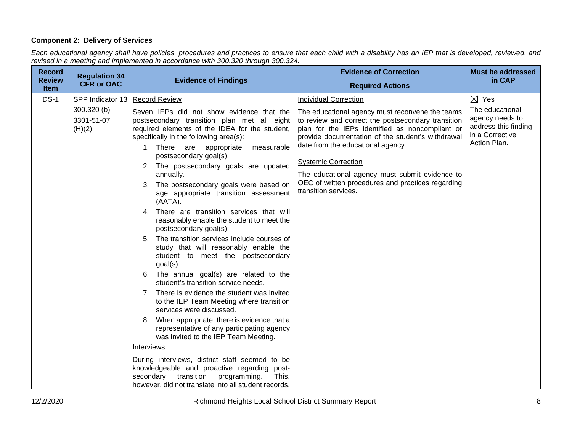## **Component 2: Delivery of Services**

*Each educational agency shall have policies, procedures and practices to ensure that each child with a disability has an IEP that is developed, reviewed, and revised in a meeting and implemented in accordance with 300.320 through 300.324.*

| <b>Record</b>                | <b>Regulation 34</b>                                    |                                                                                                                                                                                                                                                                                                                                                                                                                                                                                                                                                                                                                                                                                                                                                                                                                                                                                                                                                                                                                                                                                                                                                                                                                                                                                         | <b>Evidence of Correction</b>                                                                                                                                                                                                                                                                                                                                                                                                                   | <b>Must be addressed</b>                                                                                         |
|------------------------------|---------------------------------------------------------|-----------------------------------------------------------------------------------------------------------------------------------------------------------------------------------------------------------------------------------------------------------------------------------------------------------------------------------------------------------------------------------------------------------------------------------------------------------------------------------------------------------------------------------------------------------------------------------------------------------------------------------------------------------------------------------------------------------------------------------------------------------------------------------------------------------------------------------------------------------------------------------------------------------------------------------------------------------------------------------------------------------------------------------------------------------------------------------------------------------------------------------------------------------------------------------------------------------------------------------------------------------------------------------------|-------------------------------------------------------------------------------------------------------------------------------------------------------------------------------------------------------------------------------------------------------------------------------------------------------------------------------------------------------------------------------------------------------------------------------------------------|------------------------------------------------------------------------------------------------------------------|
| <b>Review</b><br><b>Item</b> | <b>CFR or OAC</b>                                       | <b>Evidence of Findings</b>                                                                                                                                                                                                                                                                                                                                                                                                                                                                                                                                                                                                                                                                                                                                                                                                                                                                                                                                                                                                                                                                                                                                                                                                                                                             | <b>Required Actions</b>                                                                                                                                                                                                                                                                                                                                                                                                                         | in CAP                                                                                                           |
| $DS-1$                       | SPP Indicator 13<br>300.320 (b)<br>3301-51-07<br>(H)(2) | <b>Record Review</b><br>Seven IEPs did not show evidence that the<br>postsecondary transition plan met all eight<br>required elements of the IDEA for the student,<br>specifically in the following area(s):<br>1. There are appropriate<br>measurable<br>postsecondary goal(s).<br>2. The postsecondary goals are updated<br>annually.<br>3. The postsecondary goals were based on<br>age appropriate transition assessment<br>(AATA).<br>4. There are transition services that will<br>reasonably enable the student to meet the<br>postsecondary goal(s).<br>5. The transition services include courses of<br>study that will reasonably enable the<br>student to meet the postsecondary<br>$goal(s)$ .<br>6. The annual goal(s) are related to the<br>student's transition service needs.<br>7. There is evidence the student was invited<br>to the IEP Team Meeting where transition<br>services were discussed.<br>8. When appropriate, there is evidence that a<br>representative of any participating agency<br>was invited to the IEP Team Meeting.<br>Interviews<br>During interviews, district staff seemed to be<br>knowledgeable and proactive regarding post-<br>transition<br>secondary<br>programming.<br>This,<br>however, did not translate into all student records. | <b>Individual Correction</b><br>The educational agency must reconvene the teams<br>to review and correct the postsecondary transition<br>plan for the IEPs identified as noncompliant or<br>provide documentation of the student's withdrawal<br>date from the educational agency.<br><b>Systemic Correction</b><br>The educational agency must submit evidence to<br>OEC of written procedures and practices regarding<br>transition services. | $\boxtimes$ Yes<br>The educational<br>agency needs to<br>address this finding<br>in a Corrective<br>Action Plan. |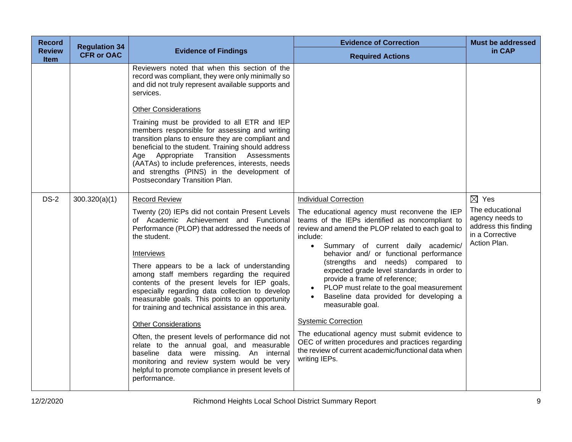| <b>Record</b>                | <b>Regulation 34</b> |                                                                                                                                                                                                                                                                                                                                                                                                                                                                                                                                                                                                                                                                                                                                                                                            | <b>Evidence of Correction</b>                                                                                                                                                                                                                                                                                                                                                                                                                                                                                                                                                                                                                                                                                            | <b>Must be addressed</b>                                                                      |
|------------------------------|----------------------|--------------------------------------------------------------------------------------------------------------------------------------------------------------------------------------------------------------------------------------------------------------------------------------------------------------------------------------------------------------------------------------------------------------------------------------------------------------------------------------------------------------------------------------------------------------------------------------------------------------------------------------------------------------------------------------------------------------------------------------------------------------------------------------------|--------------------------------------------------------------------------------------------------------------------------------------------------------------------------------------------------------------------------------------------------------------------------------------------------------------------------------------------------------------------------------------------------------------------------------------------------------------------------------------------------------------------------------------------------------------------------------------------------------------------------------------------------------------------------------------------------------------------------|-----------------------------------------------------------------------------------------------|
| <b>Review</b><br><b>Item</b> | <b>CFR or OAC</b>    | <b>Evidence of Findings</b>                                                                                                                                                                                                                                                                                                                                                                                                                                                                                                                                                                                                                                                                                                                                                                | <b>Required Actions</b>                                                                                                                                                                                                                                                                                                                                                                                                                                                                                                                                                                                                                                                                                                  | in CAP                                                                                        |
|                              |                      | Reviewers noted that when this section of the<br>record was compliant, they were only minimally so<br>and did not truly represent available supports and<br>services.<br><b>Other Considerations</b><br>Training must be provided to all ETR and IEP<br>members responsible for assessing and writing<br>transition plans to ensure they are compliant and<br>beneficial to the student. Training should address<br>Age Appropriate Transition Assessments<br>(AATAs) to include preferences, interests, needs<br>and strengths (PINS) in the development of<br>Postsecondary Transition Plan.                                                                                                                                                                                             |                                                                                                                                                                                                                                                                                                                                                                                                                                                                                                                                                                                                                                                                                                                          |                                                                                               |
| $DS-2$                       | 300.320(a)(1)        | <b>Record Review</b>                                                                                                                                                                                                                                                                                                                                                                                                                                                                                                                                                                                                                                                                                                                                                                       | <b>Individual Correction</b>                                                                                                                                                                                                                                                                                                                                                                                                                                                                                                                                                                                                                                                                                             | $\boxtimes$ Yes                                                                               |
|                              |                      | Twenty (20) IEPs did not contain Present Levels<br>of Academic Achievement and Functional<br>Performance (PLOP) that addressed the needs of<br>the student.<br><b>Interviews</b><br>There appears to be a lack of understanding<br>among staff members regarding the required<br>contents of the present levels for IEP goals,<br>especially regarding data collection to develop<br>measurable goals. This points to an opportunity<br>for training and technical assistance in this area.<br><b>Other Considerations</b><br>Often, the present levels of performance did not<br>relate to the annual goal, and measurable<br>baseline data were missing. An internal<br>monitoring and review system would be very<br>helpful to promote compliance in present levels of<br>performance. | The educational agency must reconvene the IEP<br>teams of the IEPs identified as noncompliant to<br>review and amend the PLOP related to each goal to<br>include:<br>Summary of current daily academic/<br>$\bullet$<br>behavior and/ or functional performance<br>(strengths and needs) compared to<br>expected grade level standards in order to<br>provide a frame of reference;<br>PLOP must relate to the goal measurement<br>$\bullet$<br>Baseline data provided for developing a<br>measurable goal.<br><b>Systemic Correction</b><br>The educational agency must submit evidence to<br>OEC of written procedures and practices regarding<br>the review of current academic/functional data when<br>writing IEPs. | The educational<br>agency needs to<br>address this finding<br>in a Corrective<br>Action Plan. |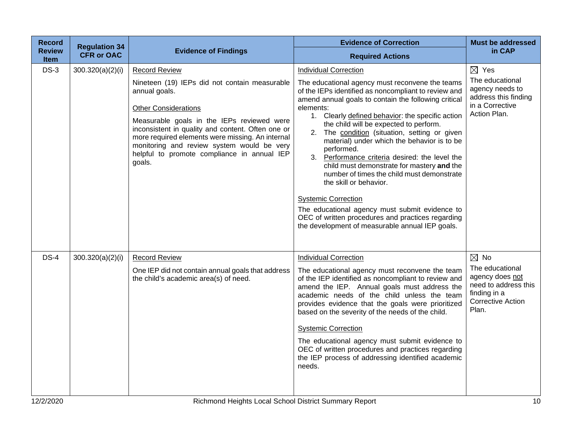| <b>Record</b>                | <b>Regulation 34</b> |                                                                                                                                                                                                                                                                                                                                                                                     | <b>Evidence of Correction</b>                                                                                                                                                                                                                                                                                                                                                                                                                                                                                                                                                                                                                                                                                                                                                            | <b>Must be addressed</b>                                                                                                          |
|------------------------------|----------------------|-------------------------------------------------------------------------------------------------------------------------------------------------------------------------------------------------------------------------------------------------------------------------------------------------------------------------------------------------------------------------------------|------------------------------------------------------------------------------------------------------------------------------------------------------------------------------------------------------------------------------------------------------------------------------------------------------------------------------------------------------------------------------------------------------------------------------------------------------------------------------------------------------------------------------------------------------------------------------------------------------------------------------------------------------------------------------------------------------------------------------------------------------------------------------------------|-----------------------------------------------------------------------------------------------------------------------------------|
| <b>Review</b><br><b>Item</b> | <b>CFR or OAC</b>    | <b>Evidence of Findings</b>                                                                                                                                                                                                                                                                                                                                                         | <b>Required Actions</b>                                                                                                                                                                                                                                                                                                                                                                                                                                                                                                                                                                                                                                                                                                                                                                  | in CAP                                                                                                                            |
| $DS-3$                       | 300.320(a)(2)(i)     | <b>Record Review</b><br>Nineteen (19) IEPs did not contain measurable<br>annual goals.<br><b>Other Considerations</b><br>Measurable goals in the IEPs reviewed were<br>inconsistent in quality and content. Often one or<br>more required elements were missing. An internal<br>monitoring and review system would be very<br>helpful to promote compliance in annual IEP<br>goals. | <b>Individual Correction</b><br>The educational agency must reconvene the teams<br>of the IEPs identified as noncompliant to review and<br>amend annual goals to contain the following critical<br>elements:<br>1. Clearly defined behavior: the specific action<br>the child will be expected to perform.<br>2. The condition (situation, setting or given<br>material) under which the behavior is to be<br>performed.<br>3. Performance criteria desired: the level the<br>child must demonstrate for mastery and the<br>number of times the child must demonstrate<br>the skill or behavior.<br><b>Systemic Correction</b><br>The educational agency must submit evidence to<br>OEC of written procedures and practices regarding<br>the development of measurable annual IEP goals. | $\boxtimes$ Yes<br>The educational<br>agency needs to<br>address this finding<br>in a Corrective<br>Action Plan.                  |
| $DS-4$                       | 300.320(a)(2)(i)     | <b>Record Review</b><br>One IEP did not contain annual goals that address<br>the child's academic area(s) of need.                                                                                                                                                                                                                                                                  | <b>Individual Correction</b><br>The educational agency must reconvene the team<br>of the IEP identified as noncompliant to review and<br>amend the IEP. Annual goals must address the<br>academic needs of the child unless the team<br>provides evidence that the goals were prioritized<br>based on the severity of the needs of the child.<br><b>Systemic Correction</b><br>The educational agency must submit evidence to<br>OEC of written procedures and practices regarding<br>the IEP process of addressing identified academic<br>needs.                                                                                                                                                                                                                                        | $\boxtimes$ No<br>The educational<br>agency does not<br>need to address this<br>finding in a<br><b>Corrective Action</b><br>Plan. |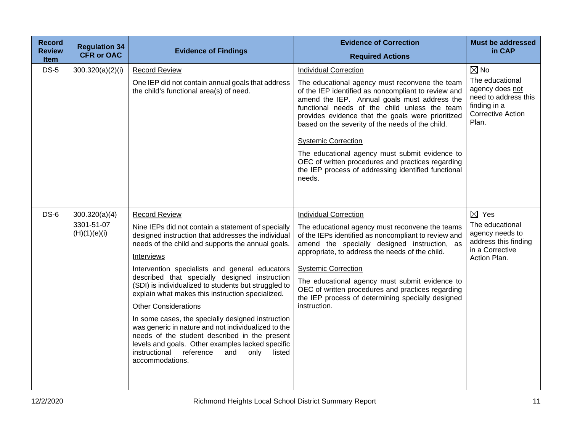| <b>Record</b>                | <b>Regulation 34</b>       |                                                                                                                                                                                                                                                                                      | <b>Evidence of Correction</b>                                                                                                                                                                                                                                                                                   | <b>Must be addressed</b>                                                                                        |
|------------------------------|----------------------------|--------------------------------------------------------------------------------------------------------------------------------------------------------------------------------------------------------------------------------------------------------------------------------------|-----------------------------------------------------------------------------------------------------------------------------------------------------------------------------------------------------------------------------------------------------------------------------------------------------------------|-----------------------------------------------------------------------------------------------------------------|
| <b>Review</b><br><b>Item</b> | <b>CFR or OAC</b>          | <b>Evidence of Findings</b>                                                                                                                                                                                                                                                          | <b>Required Actions</b>                                                                                                                                                                                                                                                                                         | in CAP                                                                                                          |
| <b>DS-5</b>                  | 300.320(a)(2)(i)           | <b>Record Review</b>                                                                                                                                                                                                                                                                 | <b>Individual Correction</b>                                                                                                                                                                                                                                                                                    | $\boxtimes$ No                                                                                                  |
|                              |                            | One IEP did not contain annual goals that address<br>the child's functional area(s) of need.                                                                                                                                                                                         | The educational agency must reconvene the team<br>of the IEP identified as noncompliant to review and<br>amend the IEP. Annual goals must address the<br>functional needs of the child unless the team<br>provides evidence that the goals were prioritized<br>based on the severity of the needs of the child. | The educational<br>agency does not<br>need to address this<br>finding in a<br><b>Corrective Action</b><br>Plan. |
|                              |                            |                                                                                                                                                                                                                                                                                      | <b>Systemic Correction</b>                                                                                                                                                                                                                                                                                      |                                                                                                                 |
|                              |                            |                                                                                                                                                                                                                                                                                      | The educational agency must submit evidence to<br>OEC of written procedures and practices regarding<br>the IEP process of addressing identified functional<br>needs.                                                                                                                                            |                                                                                                                 |
|                              |                            |                                                                                                                                                                                                                                                                                      |                                                                                                                                                                                                                                                                                                                 |                                                                                                                 |
| $DS-6$                       | 300.320(a)(4)              | <b>Record Review</b>                                                                                                                                                                                                                                                                 | <b>Individual Correction</b>                                                                                                                                                                                                                                                                                    | $\boxtimes$ Yes                                                                                                 |
|                              | 3301-51-07<br>(H)(1)(e)(i) | Nine IEPs did not contain a statement of specially<br>designed instruction that addresses the individual<br>needs of the child and supports the annual goals.                                                                                                                        | The educational agency must reconvene the teams<br>of the IEPs identified as noncompliant to review and<br>amend the specially designed instruction, as                                                                                                                                                         | The educational<br>agency needs to<br>address this finding<br>in a Corrective                                   |
|                              |                            | Interviews                                                                                                                                                                                                                                                                           | appropriate, to address the needs of the child.                                                                                                                                                                                                                                                                 | Action Plan.                                                                                                    |
|                              |                            | Intervention specialists and general educators                                                                                                                                                                                                                                       | <b>Systemic Correction</b>                                                                                                                                                                                                                                                                                      |                                                                                                                 |
|                              |                            | described that specially designed instruction<br>(SDI) is individualized to students but struggled to<br>explain what makes this instruction specialized.                                                                                                                            | The educational agency must submit evidence to<br>OEC of written procedures and practices regarding<br>the IEP process of determining specially designed                                                                                                                                                        |                                                                                                                 |
|                              |                            | <b>Other Considerations</b>                                                                                                                                                                                                                                                          | instruction.                                                                                                                                                                                                                                                                                                    |                                                                                                                 |
|                              |                            | In some cases, the specially designed instruction<br>was generic in nature and not individualized to the<br>needs of the student described in the present<br>levels and goals. Other examples lacked specific<br>instructional reference<br>listed<br>and<br>only<br>accommodations. |                                                                                                                                                                                                                                                                                                                 |                                                                                                                 |
|                              |                            |                                                                                                                                                                                                                                                                                      |                                                                                                                                                                                                                                                                                                                 |                                                                                                                 |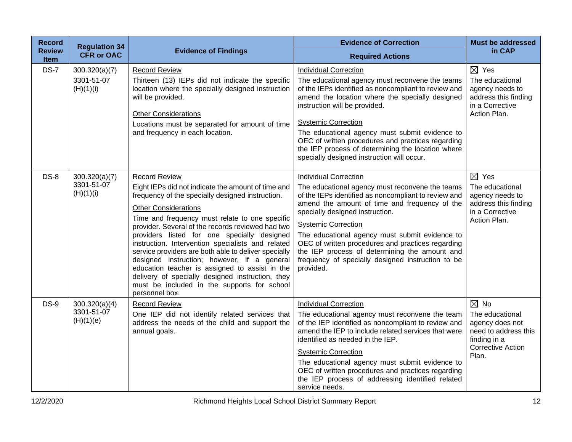| <b>Record</b>         | <b>Regulation 34</b>                     |                                                                                                                                                                                                                                                                                                                                                                                                                                                                                                                                                                                                                                                        | <b>Evidence of Correction</b>                                                                                                                                                                                                                                                                                                                                                                                                                                                       | <b>Must be addressed</b>                                                                                                          |
|-----------------------|------------------------------------------|--------------------------------------------------------------------------------------------------------------------------------------------------------------------------------------------------------------------------------------------------------------------------------------------------------------------------------------------------------------------------------------------------------------------------------------------------------------------------------------------------------------------------------------------------------------------------------------------------------------------------------------------------------|-------------------------------------------------------------------------------------------------------------------------------------------------------------------------------------------------------------------------------------------------------------------------------------------------------------------------------------------------------------------------------------------------------------------------------------------------------------------------------------|-----------------------------------------------------------------------------------------------------------------------------------|
| <b>Review</b><br>Item | <b>CFR or OAC</b>                        | <b>Evidence of Findings</b>                                                                                                                                                                                                                                                                                                                                                                                                                                                                                                                                                                                                                            | <b>Required Actions</b>                                                                                                                                                                                                                                                                                                                                                                                                                                                             | in CAP                                                                                                                            |
| <b>DS-7</b>           | 300.320(a)(7)<br>3301-51-07<br>(H)(1)(i) | <b>Record Review</b><br>Thirteen (13) IEPs did not indicate the specific<br>location where the specially designed instruction<br>will be provided.<br><b>Other Considerations</b><br>Locations must be separated for amount of time<br>and frequency in each location.                                                                                                                                                                                                                                                                                                                                                                                 | <b>Individual Correction</b><br>The educational agency must reconvene the teams<br>of the IEPs identified as noncompliant to review and<br>amend the location where the specially designed<br>instruction will be provided.<br><b>Systemic Correction</b><br>The educational agency must submit evidence to<br>OEC of written procedures and practices regarding<br>the IEP process of determining the location where<br>specially designed instruction will occur.                 | $\boxtimes$ Yes<br>The educational<br>agency needs to<br>address this finding<br>in a Corrective<br>Action Plan.                  |
| $DS-8$                | 300.320(a)(7)<br>3301-51-07<br>(H)(1)(i) | <b>Record Review</b><br>Eight IEPs did not indicate the amount of time and<br>frequency of the specially designed instruction.<br><b>Other Considerations</b><br>Time and frequency must relate to one specific<br>provider. Several of the records reviewed had two<br>providers listed for one specially designed<br>instruction. Intervention specialists and related<br>service providers are both able to deliver specially<br>designed instruction; however, if a general<br>education teacher is assigned to assist in the<br>delivery of specially designed instruction, they<br>must be included in the supports for school<br>personnel box. | <b>Individual Correction</b><br>The educational agency must reconvene the teams<br>of the IEPs identified as noncompliant to review and<br>amend the amount of time and frequency of the<br>specially designed instruction.<br><b>Systemic Correction</b><br>The educational agency must submit evidence to<br>OEC of written procedures and practices regarding<br>the IEP process of determining the amount and<br>frequency of specially designed instruction to be<br>provided. | $\boxtimes$ Yes<br>The educational<br>agency needs to<br>address this finding<br>in a Corrective<br>Action Plan.                  |
| <b>DS-9</b>           | 300.320(a)(4)<br>3301-51-07<br>(H)(1)(e) | <b>Record Review</b><br>One IEP did not identify related services that<br>address the needs of the child and support the<br>annual goals.                                                                                                                                                                                                                                                                                                                                                                                                                                                                                                              | <b>Individual Correction</b><br>The educational agency must reconvene the team<br>of the IEP identified as noncompliant to review and<br>amend the IEP to include related services that were<br>identified as needed in the IEP.<br><b>Systemic Correction</b><br>The educational agency must submit evidence to<br>OEC of written procedures and practices regarding<br>the IEP process of addressing identified related<br>service needs.                                         | $\boxtimes$ No<br>The educational<br>agency does not<br>need to address this<br>finding in a<br><b>Corrective Action</b><br>Plan. |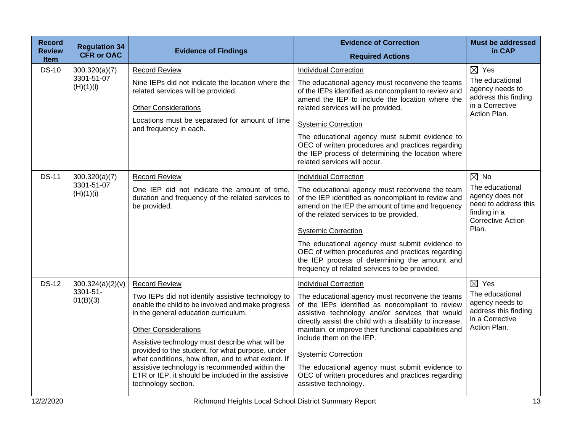| <b>Record</b>         | <b>Regulation 34</b>    |                                                                                                                                                           | <b>Evidence of Correction</b>                                                                                                                                                                                      | <b>Must be addressed</b>                                                                               |
|-----------------------|-------------------------|-----------------------------------------------------------------------------------------------------------------------------------------------------------|--------------------------------------------------------------------------------------------------------------------------------------------------------------------------------------------------------------------|--------------------------------------------------------------------------------------------------------|
| <b>Review</b><br>Item | <b>CFR or OAC</b>       | <b>Evidence of Findings</b>                                                                                                                               | <b>Required Actions</b>                                                                                                                                                                                            | in CAP                                                                                                 |
| <b>DS-10</b>          | 300.320(a)(7)           | <b>Record Review</b>                                                                                                                                      | <b>Individual Correction</b>                                                                                                                                                                                       | $\boxtimes$ Yes                                                                                        |
|                       | 3301-51-07<br>(H)(1)(i) | Nine IEPs did not indicate the location where the<br>related services will be provided.                                                                   | The educational agency must reconvene the teams<br>of the IEPs identified as noncompliant to review and<br>amend the IEP to include the location where the                                                         | The educational<br>agency needs to<br>address this finding                                             |
|                       |                         | <b>Other Considerations</b>                                                                                                                               | related services will be provided.                                                                                                                                                                                 | in a Corrective<br>Action Plan.                                                                        |
|                       |                         | Locations must be separated for amount of time<br>and frequency in each.                                                                                  | <b>Systemic Correction</b>                                                                                                                                                                                         |                                                                                                        |
|                       |                         |                                                                                                                                                           | The educational agency must submit evidence to<br>OEC of written procedures and practices regarding<br>the IEP process of determining the location where<br>related services will occur.                           |                                                                                                        |
| <b>DS-11</b>          | 300.320(a)(7)           | <b>Record Review</b>                                                                                                                                      | <b>Individual Correction</b>                                                                                                                                                                                       | $\boxtimes$ No                                                                                         |
|                       | 3301-51-07<br>(H)(1)(i) | One IEP did not indicate the amount of time,<br>duration and frequency of the related services to<br>be provided.                                         | The educational agency must reconvene the team<br>of the IEP identified as noncompliant to review and<br>amend on the IEP the amount of time and frequency<br>of the related services to be provided.              | The educational<br>agency does not<br>need to address this<br>finding in a<br><b>Corrective Action</b> |
|                       |                         |                                                                                                                                                           | <b>Systemic Correction</b>                                                                                                                                                                                         | Plan.                                                                                                  |
|                       |                         |                                                                                                                                                           | The educational agency must submit evidence to<br>OEC of written procedures and practices regarding<br>the IEP process of determining the amount and<br>frequency of related services to be provided.              |                                                                                                        |
| <b>DS-12</b>          | 300.324(a)(2)(v)        | <b>Record Review</b>                                                                                                                                      | <b>Individual Correction</b>                                                                                                                                                                                       | $\boxtimes$ Yes                                                                                        |
|                       | 3301-51-<br>01(B)(3)    | Two IEPs did not identify assistive technology to<br>enable the child to be involved and make progress<br>in the general education curriculum.            | The educational agency must reconvene the teams<br>of the IEPs identified as noncompliant to review<br>assistive technology and/or services that would<br>directly assist the child with a disability to increase, | The educational<br>agency needs to<br>address this finding<br>in a Corrective                          |
|                       |                         | <b>Other Considerations</b>                                                                                                                               | maintain, or improve their functional capabilities and<br>include them on the IEP.                                                                                                                                 | Action Plan.                                                                                           |
|                       |                         | Assistive technology must describe what will be<br>provided to the student, for what purpose, under<br>what conditions, how often, and to what extent. If | <b>Systemic Correction</b>                                                                                                                                                                                         |                                                                                                        |
|                       |                         | assistive technology is recommended within the<br>ETR or IEP, it should be included in the assistive<br>technology section.                               | The educational agency must submit evidence to<br>OEC of written procedures and practices regarding<br>assistive technology.                                                                                       |                                                                                                        |
| 12/2/2020             |                         | Richmond Heights Local School District Summary Report                                                                                                     |                                                                                                                                                                                                                    | 13                                                                                                     |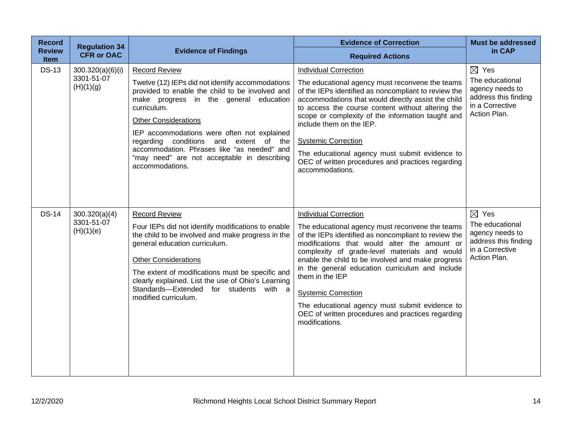| <b>Record</b>                | <b>Regulation 34</b>                        |                                                                                                                                                                                                                                                                                                                                                                                                                               | <b>Evidence of Correction</b>                                                                                                                                                                                                                                                                                                                                                                                                                                                                                              | <b>Must be addressed</b>                                                                                         |
|------------------------------|---------------------------------------------|-------------------------------------------------------------------------------------------------------------------------------------------------------------------------------------------------------------------------------------------------------------------------------------------------------------------------------------------------------------------------------------------------------------------------------|----------------------------------------------------------------------------------------------------------------------------------------------------------------------------------------------------------------------------------------------------------------------------------------------------------------------------------------------------------------------------------------------------------------------------------------------------------------------------------------------------------------------------|------------------------------------------------------------------------------------------------------------------|
| <b>Review</b><br><b>Item</b> | <b>CFR or OAC</b>                           | <b>Evidence of Findings</b>                                                                                                                                                                                                                                                                                                                                                                                                   | <b>Required Actions</b>                                                                                                                                                                                                                                                                                                                                                                                                                                                                                                    | in CAP                                                                                                           |
| <b>DS-13</b>                 | 300.320(a)(6)(i)<br>3301-51-07<br>(H)(1)(g) | <b>Record Review</b><br>Twelve (12) IEPs did not identify accommodations<br>provided to enable the child to be involved and<br>make progress in the general education<br>curriculum.<br><b>Other Considerations</b><br>IEP accommodations were often not explained<br>regarding conditions and extent of the<br>accommodation. Phrases like "as needed" and<br>"may need" are not acceptable in describing<br>accommodations. | <b>Individual Correction</b><br>The educational agency must reconvene the teams<br>of the IEPs identified as noncompliant to review the<br>accommodations that would directly assist the child<br>to access the course content without altering the<br>scope or complexity of the information taught and<br>include them on the IEP.<br><b>Systemic Correction</b><br>The educational agency must submit evidence to<br>OEC of written procedures and practices regarding<br>accommodations.                               | $\boxtimes$ Yes<br>The educational<br>agency needs to<br>address this finding<br>in a Corrective<br>Action Plan. |
| <b>DS-14</b>                 | 300.320(a)(4)<br>3301-51-07<br>(H)(1)(e)    | Record Review<br>Four IEPs did not identify modifications to enable<br>the child to be involved and make progress in the<br>general education curriculum.<br><b>Other Considerations</b><br>The extent of modifications must be specific and<br>clearly explained. List the use of Ohio's Learning<br>Standards-Extended for students with a<br>modified curriculum.                                                          | <b>Individual Correction</b><br>The educational agency must reconvene the teams<br>of the IEPs identified as noncompliant to review the<br>modifications that would alter the amount or<br>complexity of grade-level materials and would<br>enable the child to be involved and make progress<br>in the general education curriculum and include<br>them in the IEP<br><b>Systemic Correction</b><br>The educational agency must submit evidence to<br>OEC of written procedures and practices regarding<br>modifications. | $\boxtimes$ Yes<br>The educational<br>agency needs to<br>address this finding<br>in a Corrective<br>Action Plan. |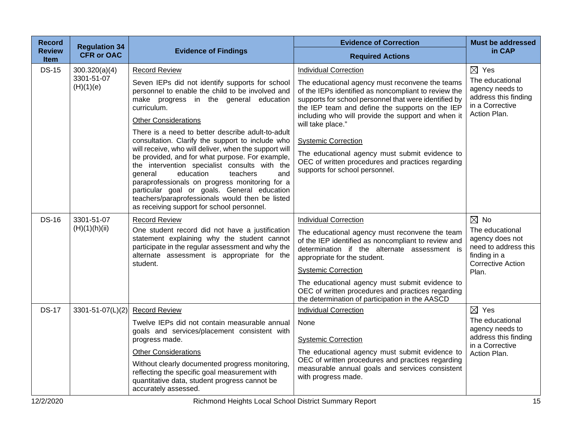| <b>Record</b>                | <b>Regulation 34</b>    |                                                                                                                                                                                                                                                                                                                                                                                                                                                                                                                 | <b>Evidence of Correction</b>                                                                                                                                                                                                                                             | <b>Must be addressed</b>                                                                                        |
|------------------------------|-------------------------|-----------------------------------------------------------------------------------------------------------------------------------------------------------------------------------------------------------------------------------------------------------------------------------------------------------------------------------------------------------------------------------------------------------------------------------------------------------------------------------------------------------------|---------------------------------------------------------------------------------------------------------------------------------------------------------------------------------------------------------------------------------------------------------------------------|-----------------------------------------------------------------------------------------------------------------|
| <b>Review</b><br><b>Item</b> | <b>CFR or OAC</b>       | <b>Evidence of Findings</b>                                                                                                                                                                                                                                                                                                                                                                                                                                                                                     | <b>Required Actions</b>                                                                                                                                                                                                                                                   | in CAP                                                                                                          |
| <b>DS-15</b>                 | 300.320(a)(4)           | <b>Record Review</b>                                                                                                                                                                                                                                                                                                                                                                                                                                                                                            | <b>Individual Correction</b>                                                                                                                                                                                                                                              | $\boxtimes$ Yes                                                                                                 |
|                              | 3301-51-07<br>(H)(1)(e) | Seven IEPs did not identify supports for school<br>personnel to enable the child to be involved and<br>make progress in the general education<br>curriculum.<br><b>Other Considerations</b>                                                                                                                                                                                                                                                                                                                     | The educational agency must reconvene the teams<br>of the IEPs identified as noncompliant to review the<br>supports for school personnel that were identified by<br>the IEP team and define the supports on the IEP<br>including who will provide the support and when it | The educational<br>agency needs to<br>address this finding<br>in a Corrective<br>Action Plan.                   |
|                              |                         | There is a need to better describe adult-to-adult<br>consultation. Clarify the support to include who<br>will receive, who will deliver, when the support will<br>be provided, and for what purpose. For example,<br>the intervention specialist consults with the<br>education<br>teachers<br>general<br>and<br>paraprofessionals on progress monitoring for a<br>particular goal or goals. General education<br>teachers/paraprofessionals would then be listed<br>as receiving support for school personnel. | will take place."<br><b>Systemic Correction</b><br>The educational agency must submit evidence to<br>OEC of written procedures and practices regarding<br>supports for school personnel.                                                                                  |                                                                                                                 |
| <b>DS-16</b>                 | 3301-51-07              | <b>Record Review</b>                                                                                                                                                                                                                                                                                                                                                                                                                                                                                            | <b>Individual Correction</b>                                                                                                                                                                                                                                              | $\boxtimes$ No                                                                                                  |
|                              | (H)(1)(h)(ii)           | One student record did not have a justification<br>statement explaining why the student cannot<br>participate in the regular assessment and why the<br>alternate assessment is appropriate for the<br>student.                                                                                                                                                                                                                                                                                                  | The educational agency must reconvene the team<br>of the IEP identified as noncompliant to review and<br>determination if the alternate assessment is<br>appropriate for the student.<br><b>Systemic Correction</b>                                                       | The educational<br>agency does not<br>need to address this<br>finding in a<br><b>Corrective Action</b><br>Plan. |
|                              |                         |                                                                                                                                                                                                                                                                                                                                                                                                                                                                                                                 | The educational agency must submit evidence to<br>OEC of written procedures and practices regarding<br>the determination of participation in the AASCD                                                                                                                    |                                                                                                                 |
| <b>DS-17</b>                 | 3301-51-07(L)(2)        | <b>Record Review</b>                                                                                                                                                                                                                                                                                                                                                                                                                                                                                            | <b>Individual Correction</b>                                                                                                                                                                                                                                              | $\boxtimes$ Yes                                                                                                 |
|                              |                         | Twelve IEPs did not contain measurable annual<br>goals and services/placement consistent with<br>progress made.<br><b>Other Considerations</b><br>Without clearly documented progress monitoring,<br>reflecting the specific goal measurement with                                                                                                                                                                                                                                                              | None<br><b>Systemic Correction</b><br>The educational agency must submit evidence to<br>OEC of written procedures and practices regarding<br>measurable annual goals and services consistent<br>with progress made.                                                       | The educational<br>agency needs to<br>address this finding<br>in a Corrective<br>Action Plan.                   |
|                              |                         | quantitative data, student progress cannot be<br>accurately assessed.                                                                                                                                                                                                                                                                                                                                                                                                                                           |                                                                                                                                                                                                                                                                           |                                                                                                                 |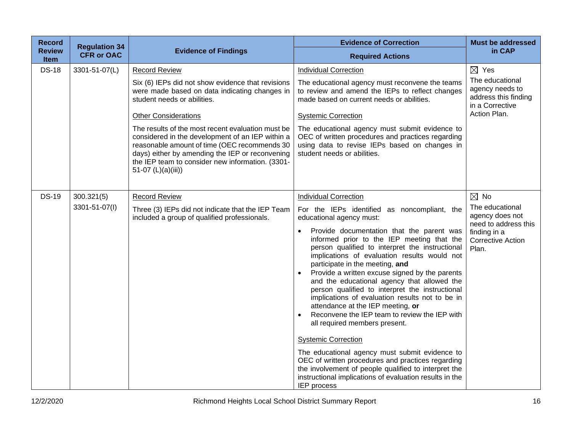| <b>Record</b>                | <b>Regulation 34</b> |                                                                                                                                                                                                                                                                                    | <b>Evidence of Correction</b>                                                                                                                                                                                                                                                                                                                                                                                                                                                                                                                                                                                                                                                                                                                                                                                                                                                                                               | <b>Must be addressed</b>                                                                                        |
|------------------------------|----------------------|------------------------------------------------------------------------------------------------------------------------------------------------------------------------------------------------------------------------------------------------------------------------------------|-----------------------------------------------------------------------------------------------------------------------------------------------------------------------------------------------------------------------------------------------------------------------------------------------------------------------------------------------------------------------------------------------------------------------------------------------------------------------------------------------------------------------------------------------------------------------------------------------------------------------------------------------------------------------------------------------------------------------------------------------------------------------------------------------------------------------------------------------------------------------------------------------------------------------------|-----------------------------------------------------------------------------------------------------------------|
| <b>Review</b><br><b>Item</b> | <b>CFR or OAC</b>    | <b>Evidence of Findings</b>                                                                                                                                                                                                                                                        | <b>Required Actions</b>                                                                                                                                                                                                                                                                                                                                                                                                                                                                                                                                                                                                                                                                                                                                                                                                                                                                                                     | in CAP                                                                                                          |
| <b>DS-18</b>                 | 3301-51-07(L)        | <b>Record Review</b>                                                                                                                                                                                                                                                               | <b>Individual Correction</b>                                                                                                                                                                                                                                                                                                                                                                                                                                                                                                                                                                                                                                                                                                                                                                                                                                                                                                | $\boxtimes$ Yes                                                                                                 |
|                              |                      | Six (6) IEPs did not show evidence that revisions<br>were made based on data indicating changes in<br>student needs or abilities.                                                                                                                                                  | The educational agency must reconvene the teams<br>to review and amend the IEPs to reflect changes<br>made based on current needs or abilities.                                                                                                                                                                                                                                                                                                                                                                                                                                                                                                                                                                                                                                                                                                                                                                             | The educational<br>agency needs to<br>address this finding<br>in a Corrective                                   |
|                              |                      | <b>Other Considerations</b>                                                                                                                                                                                                                                                        | <b>Systemic Correction</b>                                                                                                                                                                                                                                                                                                                                                                                                                                                                                                                                                                                                                                                                                                                                                                                                                                                                                                  | Action Plan.                                                                                                    |
|                              |                      | The results of the most recent evaluation must be<br>considered in the development of an IEP within a<br>reasonable amount of time (OEC recommends 30<br>days) either by amending the IEP or reconvening<br>the IEP team to consider new information. (3301-<br>51-07 (L)(a)(iii)) | The educational agency must submit evidence to<br>OEC of written procedures and practices regarding<br>using data to revise IEPs based on changes in<br>student needs or abilities.                                                                                                                                                                                                                                                                                                                                                                                                                                                                                                                                                                                                                                                                                                                                         |                                                                                                                 |
| <b>DS-19</b>                 | 300.321(5)           | <b>Record Review</b>                                                                                                                                                                                                                                                               | <b>Individual Correction</b>                                                                                                                                                                                                                                                                                                                                                                                                                                                                                                                                                                                                                                                                                                                                                                                                                                                                                                | $\boxtimes$ No                                                                                                  |
|                              | 3301-51-07(I)        | Three (3) IEPs did not indicate that the IEP Team<br>included a group of qualified professionals.                                                                                                                                                                                  | For the IEPs identified as noncompliant, the<br>educational agency must:<br>Provide documentation that the parent was<br>$\bullet$<br>informed prior to the IEP meeting that the<br>person qualified to interpret the instructional<br>implications of evaluation results would not<br>participate in the meeting, and<br>Provide a written excuse signed by the parents<br>and the educational agency that allowed the<br>person qualified to interpret the instructional<br>implications of evaluation results not to be in<br>attendance at the IEP meeting, or<br>Reconvene the IEP team to review the IEP with<br>all required members present.<br><b>Systemic Correction</b><br>The educational agency must submit evidence to<br>OEC of written procedures and practices regarding<br>the involvement of people qualified to interpret the<br>instructional implications of evaluation results in the<br>IEP process | The educational<br>agency does not<br>need to address this<br>finding in a<br><b>Corrective Action</b><br>Plan. |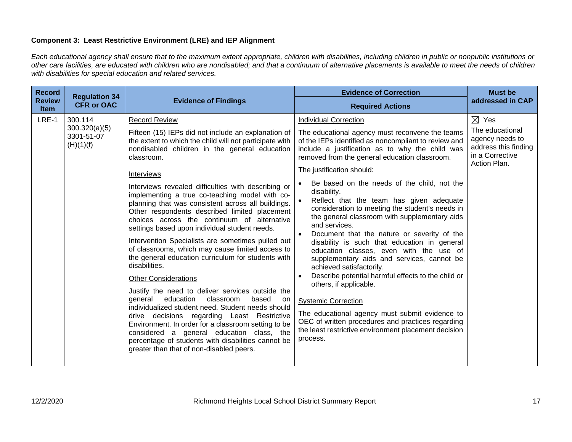## **Component 3: Least Restrictive Environment (LRE) and IEP Alignment**

*Each educational agency shall ensure that to the maximum extent appropriate, children with disabilities, including children in public or nonpublic institutions or other care facilities, are educated with children who are nondisabled; and that a continuum of alternative placements is available to meet the needs of children with disabilities for special education and related services.*

| <b>Record</b>                | <b>Regulation 34</b>                                |                                                                                                                                                                                                                                                                                                                                                                                                                                                                                                                                                                                                                                                                                                                                                                                                                                                                                                                                                                                                                                                                                                                                                                      | <b>Evidence of Correction</b>                                                                                                                                                                                                                                                                                                                                                                                                                                                                                                                                                                                                                                                                                                                                                                                                                                                                                                                                                                                        | <b>Must be</b>                                                                                                   |
|------------------------------|-----------------------------------------------------|----------------------------------------------------------------------------------------------------------------------------------------------------------------------------------------------------------------------------------------------------------------------------------------------------------------------------------------------------------------------------------------------------------------------------------------------------------------------------------------------------------------------------------------------------------------------------------------------------------------------------------------------------------------------------------------------------------------------------------------------------------------------------------------------------------------------------------------------------------------------------------------------------------------------------------------------------------------------------------------------------------------------------------------------------------------------------------------------------------------------------------------------------------------------|----------------------------------------------------------------------------------------------------------------------------------------------------------------------------------------------------------------------------------------------------------------------------------------------------------------------------------------------------------------------------------------------------------------------------------------------------------------------------------------------------------------------------------------------------------------------------------------------------------------------------------------------------------------------------------------------------------------------------------------------------------------------------------------------------------------------------------------------------------------------------------------------------------------------------------------------------------------------------------------------------------------------|------------------------------------------------------------------------------------------------------------------|
| <b>Review</b><br><b>Item</b> | <b>CFR or OAC</b>                                   | <b>Evidence of Findings</b>                                                                                                                                                                                                                                                                                                                                                                                                                                                                                                                                                                                                                                                                                                                                                                                                                                                                                                                                                                                                                                                                                                                                          | <b>Required Actions</b>                                                                                                                                                                                                                                                                                                                                                                                                                                                                                                                                                                                                                                                                                                                                                                                                                                                                                                                                                                                              | addressed in CAP                                                                                                 |
| LRE-1                        | 300.114<br>300.320(a)(5)<br>3301-51-07<br>(H)(1)(f) | <b>Record Review</b><br>Fifteen (15) IEPs did not include an explanation of<br>the extent to which the child will not participate with<br>nondisabled children in the general education<br>classroom.<br>Interviews<br>Interviews revealed difficulties with describing or<br>implementing a true co-teaching model with co-<br>planning that was consistent across all buildings.<br>Other respondents described limited placement<br>choices across the continuum of alternative<br>settings based upon individual student needs.<br>Intervention Specialists are sometimes pulled out<br>of classrooms, which may cause limited access to<br>the general education curriculum for students with<br>disabilities.<br><b>Other Considerations</b><br>Justify the need to deliver services outside the<br>education<br>classroom<br>general<br>based<br>on<br>individualized student need. Student needs should<br>drive decisions regarding Least Restrictive<br>Environment. In order for a classroom setting to be<br>considered a general education class, the<br>percentage of students with disabilities cannot be<br>greater than that of non-disabled peers. | <b>Individual Correction</b><br>The educational agency must reconvene the teams<br>of the IEPs identified as noncompliant to review and<br>include a justification as to why the child was<br>removed from the general education classroom.<br>The justification should:<br>Be based on the needs of the child, not the<br>disability.<br>Reflect that the team has given adequate<br>consideration to meeting the student's needs in<br>the general classroom with supplementary aids<br>and services.<br>Document that the nature or severity of the<br>disability is such that education in general<br>education classes, even with the use of<br>supplementary aids and services, cannot be<br>achieved satisfactorily.<br>Describe potential harmful effects to the child or<br>others, if applicable.<br><b>Systemic Correction</b><br>The educational agency must submit evidence to<br>OEC of written procedures and practices regarding<br>the least restrictive environment placement decision<br>process. | $\boxtimes$ Yes<br>The educational<br>agency needs to<br>address this finding<br>in a Corrective<br>Action Plan. |